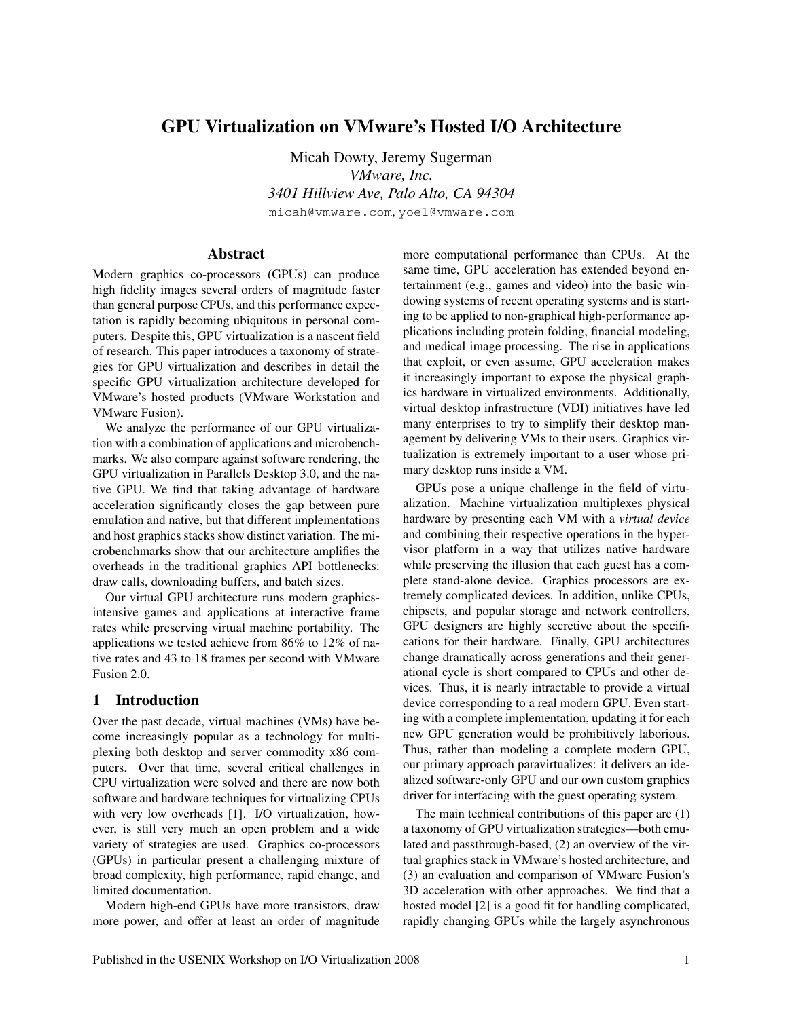# GPU Virtualization on VMware's Hosted I/O Architecture

Micah Dowty, Jeremy Sugerman *VMware, Inc. 3401 Hillview Ave, Palo Alto, CA 94304* micah@vmware.com, yoel@vmware.com

### Abstract

Modern graphics co-processors (GPUs) can produce high fidelity images several orders of magnitude faster than general purpose CPUs, and this performance expectation is rapidly becoming ubiquitous in personal computers. Despite this, GPU virtualization is a nascent field of research. This paper introduces a taxonomy of strategies for GPU virtualization and describes in detail the specific GPU virtualization architecture developed for VMware's hosted products (VMware Workstation and VMware Fusion).

We analyze the performance of our GPU virtualization with a combination of applications and microbenchmarks. We also compare against software rendering, the GPU virtualization in Parallels Desktop 3.0, and the native GPU. We find that taking advantage of hardware acceleration significantly closes the gap between pure emulation and native, but that different implementations and host graphics stacks show distinct variation. The microbenchmarks show that our architecture amplifies the overheads in the traditional graphics API bottlenecks: draw calls, downloading buffers, and batch sizes.

Our virtual GPU architecture runs modern graphicsintensive games and applications at interactive frame rates while preserving virtual machine portability. The applications we tested achieve from 86% to 12% of native rates and 43 to 18 frames per second with VMware Fusion 2.0.

### 1 Introduction

Over the past decade, virtual machines (VMs) have become increasingly popular as a technology for multiplexing both desktop and server commodity x86 computers. Over that time, several critical challenges in CPU virtualization were solved and there are now both software and hardware techniques for virtualizing CPUs with very low overheads [1]. I/O virtualization, however, is still very much an open problem and a wide variety of strategies are used. Graphics co-processors (GPUs) in particular present a challenging mixture of broad complexity, high performance, rapid change, and limited documentation.

Modern high-end GPUs have more transistors, draw more power, and offer at least an order of magnitude more computational performance than CPUs. At the same time, GPU acceleration has extended beyond entertainment (e.g., games and video) into the basic windowing systems of recent operating systems and is starting to be applied to non-graphical high-performance applications including protein folding, financial modeling, and medical image processing. The rise in applications that exploit, or even assume, GPU acceleration makes it increasingly important to expose the physical graphics hardware in virtualized environments. Additionally, virtual desktop infrastructure (VDI) initiatives have led many enterprises to try to simplify their desktop management by delivering VMs to their users. Graphics virtualization is extremely important to a user whose primary desktop runs inside a VM.

GPUs pose a unique challenge in the field of virtualization. Machine virtualization multiplexes physical hardware by presenting each VM with a *virtual device* and combining their respective operations in the hypervisor platform in a way that utilizes native hardware while preserving the illusion that each guest has a complete stand-alone device. Graphics processors are extremely complicated devices. In addition, unlike CPUs, chipsets, and popular storage and network controllers, GPU designers are highly secretive about the specifications for their hardware. Finally, GPU architectures change dramatically across generations and their generational cycle is short compared to CPUs and other devices. Thus, it is nearly intractable to provide a virtual device corresponding to a real modern GPU. Even starting with a complete implementation, updating it for each new GPU generation would be prohibitively laborious. Thus, rather than modeling a complete modern GPU, our primary approach paravirtualizes: it delivers an idealized software-only GPU and our own custom graphics driver for interfacing with the guest operating system.

The main technical contributions of this paper are (1) a taxonomy of GPU virtualization strategies—both emulated and passthrough-based, (2) an overview of the virtual graphics stack in VMware's hosted architecture, and (3) an evaluation and comparison of VMware Fusion's 3D acceleration with other approaches. We find that a hosted model [2] is a good fit for handling complicated, rapidly changing GPUs while the largely asynchronous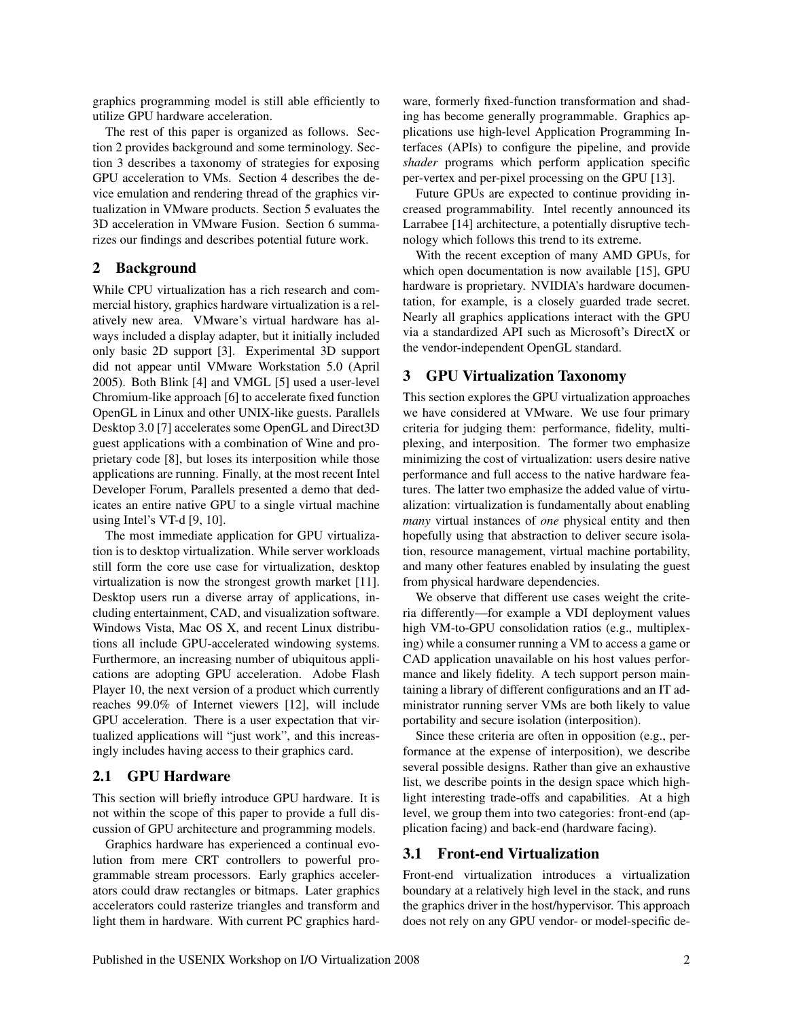graphics programming model is still able efficiently to utilize GPU hardware acceleration.

The rest of this paper is organized as follows. Section 2 provides background and some terminology. Section 3 describes a taxonomy of strategies for exposing GPU acceleration to VMs. Section 4 describes the device emulation and rendering thread of the graphics virtualization in VMware products. Section 5 evaluates the 3D acceleration in VMware Fusion. Section 6 summarizes our findings and describes potential future work.

### 2 Background

While CPU virtualization has a rich research and commercial history, graphics hardware virtualization is a relatively new area. VMware's virtual hardware has always included a display adapter, but it initially included only basic 2D support [3]. Experimental 3D support did not appear until VMware Workstation 5.0 (April 2005). Both Blink [4] and VMGL [5] used a user-level Chromium-like approach [6] to accelerate fixed function OpenGL in Linux and other UNIX-like guests. Parallels Desktop 3.0 [7] accelerates some OpenGL and Direct3D guest applications with a combination of Wine and proprietary code [8], but loses its interposition while those applications are running. Finally, at the most recent Intel Developer Forum, Parallels presented a demo that dedicates an entire native GPU to a single virtual machine using Intel's VT-d [9, 10].

The most immediate application for GPU virtualization is to desktop virtualization. While server workloads still form the core use case for virtualization, desktop virtualization is now the strongest growth market [11]. Desktop users run a diverse array of applications, including entertainment, CAD, and visualization software. Windows Vista, Mac OS X, and recent Linux distributions all include GPU-accelerated windowing systems. Furthermore, an increasing number of ubiquitous applications are adopting GPU acceleration. Adobe Flash Player 10, the next version of a product which currently reaches 99.0% of Internet viewers [12], will include GPU acceleration. There is a user expectation that virtualized applications will "just work", and this increasingly includes having access to their graphics card.

### 2.1 GPU Hardware

This section will briefly introduce GPU hardware. It is not within the scope of this paper to provide a full discussion of GPU architecture and programming models.

Graphics hardware has experienced a continual evolution from mere CRT controllers to powerful programmable stream processors. Early graphics accelerators could draw rectangles or bitmaps. Later graphics accelerators could rasterize triangles and transform and light them in hardware. With current PC graphics hardware, formerly fixed-function transformation and shading has become generally programmable. Graphics applications use high-level Application Programming Interfaces (APIs) to configure the pipeline, and provide *shader* programs which perform application specific per-vertex and per-pixel processing on the GPU [13].

Future GPUs are expected to continue providing increased programmability. Intel recently announced its Larrabee [14] architecture, a potentially disruptive technology which follows this trend to its extreme.

With the recent exception of many AMD GPUs, for which open documentation is now available [15], GPU hardware is proprietary. NVIDIA's hardware documentation, for example, is a closely guarded trade secret. Nearly all graphics applications interact with the GPU via a standardized API such as Microsoft's DirectX or the vendor-independent OpenGL standard.

### 3 GPU Virtualization Taxonomy

This section explores the GPU virtualization approaches we have considered at VMware. We use four primary criteria for judging them: performance, fidelity, multiplexing, and interposition. The former two emphasize minimizing the cost of virtualization: users desire native performance and full access to the native hardware features. The latter two emphasize the added value of virtualization: virtualization is fundamentally about enabling *many* virtual instances of *one* physical entity and then hopefully using that abstraction to deliver secure isolation, resource management, virtual machine portability, and many other features enabled by insulating the guest from physical hardware dependencies.

We observe that different use cases weight the criteria differently—for example a VDI deployment values high VM-to-GPU consolidation ratios (e.g., multiplexing) while a consumer running a VM to access a game or CAD application unavailable on his host values performance and likely fidelity. A tech support person maintaining a library of different configurations and an IT administrator running server VMs are both likely to value portability and secure isolation (interposition).

Since these criteria are often in opposition (e.g., performance at the expense of interposition), we describe several possible designs. Rather than give an exhaustive list, we describe points in the design space which highlight interesting trade-offs and capabilities. At a high level, we group them into two categories: front-end (application facing) and back-end (hardware facing).

### 3.1 Front-end Virtualization

Front-end virtualization introduces a virtualization boundary at a relatively high level in the stack, and runs the graphics driver in the host/hypervisor. This approach does not rely on any GPU vendor- or model-specific de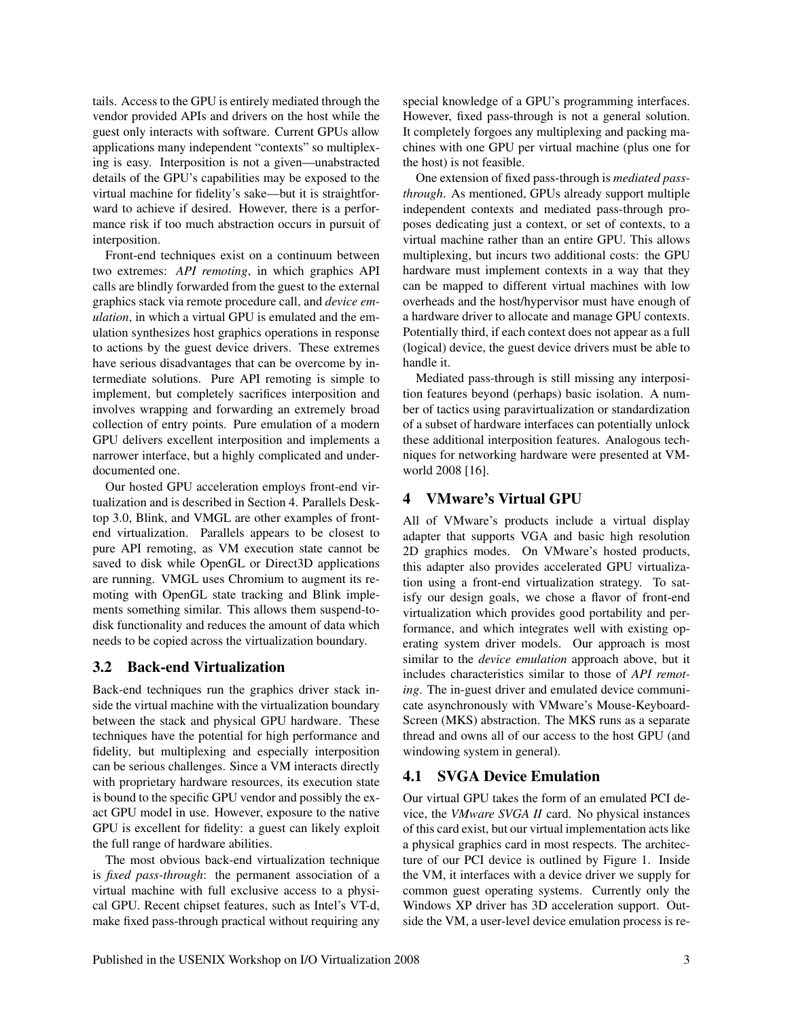tails. Access to the GPU is entirely mediated through the vendor provided APIs and drivers on the host while the guest only interacts with software. Current GPUs allow applications many independent "contexts" so multiplexing is easy. Interposition is not a given—unabstracted details of the GPU's capabilities may be exposed to the virtual machine for fidelity's sake—but it is straightforward to achieve if desired. However, there is a performance risk if too much abstraction occurs in pursuit of interposition.

Front-end techniques exist on a continuum between two extremes: *API remoting*, in which graphics API calls are blindly forwarded from the guest to the external graphics stack via remote procedure call, and *device emulation*, in which a virtual GPU is emulated and the emulation synthesizes host graphics operations in response to actions by the guest device drivers. These extremes have serious disadvantages that can be overcome by intermediate solutions. Pure API remoting is simple to implement, but completely sacrifices interposition and involves wrapping and forwarding an extremely broad collection of entry points. Pure emulation of a modern GPU delivers excellent interposition and implements a narrower interface, but a highly complicated and underdocumented one.

Our hosted GPU acceleration employs front-end virtualization and is described in Section 4. Parallels Desktop 3.0, Blink, and VMGL are other examples of frontend virtualization. Parallels appears to be closest to pure API remoting, as VM execution state cannot be saved to disk while OpenGL or Direct3D applications are running. VMGL uses Chromium to augment its remoting with OpenGL state tracking and Blink implements something similar. This allows them suspend-todisk functionality and reduces the amount of data which needs to be copied across the virtualization boundary.

# 3.2 Back-end Virtualization

Back-end techniques run the graphics driver stack inside the virtual machine with the virtualization boundary between the stack and physical GPU hardware. These techniques have the potential for high performance and fidelity, but multiplexing and especially interposition can be serious challenges. Since a VM interacts directly with proprietary hardware resources, its execution state is bound to the specific GPU vendor and possibly the exact GPU model in use. However, exposure to the native GPU is excellent for fidelity: a guest can likely exploit the full range of hardware abilities.

The most obvious back-end virtualization technique is *fixed pass-through*: the permanent association of a virtual machine with full exclusive access to a physical GPU. Recent chipset features, such as Intel's VT-d, make fixed pass-through practical without requiring any

special knowledge of a GPU's programming interfaces. However, fixed pass-through is not a general solution. It completely forgoes any multiplexing and packing machines with one GPU per virtual machine (plus one for the host) is not feasible.

One extension of fixed pass-through is *mediated passthrough*. As mentioned, GPUs already support multiple independent contexts and mediated pass-through proposes dedicating just a context, or set of contexts, to a virtual machine rather than an entire GPU. This allows multiplexing, but incurs two additional costs: the GPU hardware must implement contexts in a way that they can be mapped to different virtual machines with low overheads and the host/hypervisor must have enough of a hardware driver to allocate and manage GPU contexts. Potentially third, if each context does not appear as a full (logical) device, the guest device drivers must be able to handle it.

Mediated pass-through is still missing any interposition features beyond (perhaps) basic isolation. A number of tactics using paravirtualization or standardization of a subset of hardware interfaces can potentially unlock these additional interposition features. Analogous techniques for networking hardware were presented at VMworld 2008 [16].

# 4 VMware's Virtual GPU

All of VMware's products include a virtual display adapter that supports VGA and basic high resolution 2D graphics modes. On VMware's hosted products, this adapter also provides accelerated GPU virtualization using a front-end virtualization strategy. To satisfy our design goals, we chose a flavor of front-end virtualization which provides good portability and performance, and which integrates well with existing operating system driver models. Our approach is most similar to the *device emulation* approach above, but it includes characteristics similar to those of *API remoting*. The in-guest driver and emulated device communicate asynchronously with VMware's Mouse-Keyboard-Screen (MKS) abstraction. The MKS runs as a separate thread and owns all of our access to the host GPU (and windowing system in general).

### 4.1 SVGA Device Emulation

Our virtual GPU takes the form of an emulated PCI device, the *VMware SVGA II* card. No physical instances of this card exist, but our virtual implementation acts like a physical graphics card in most respects. The architecture of our PCI device is outlined by Figure 1. Inside the VM, it interfaces with a device driver we supply for common guest operating systems. Currently only the Windows XP driver has 3D acceleration support. Outside the VM, a user-level device emulation process is re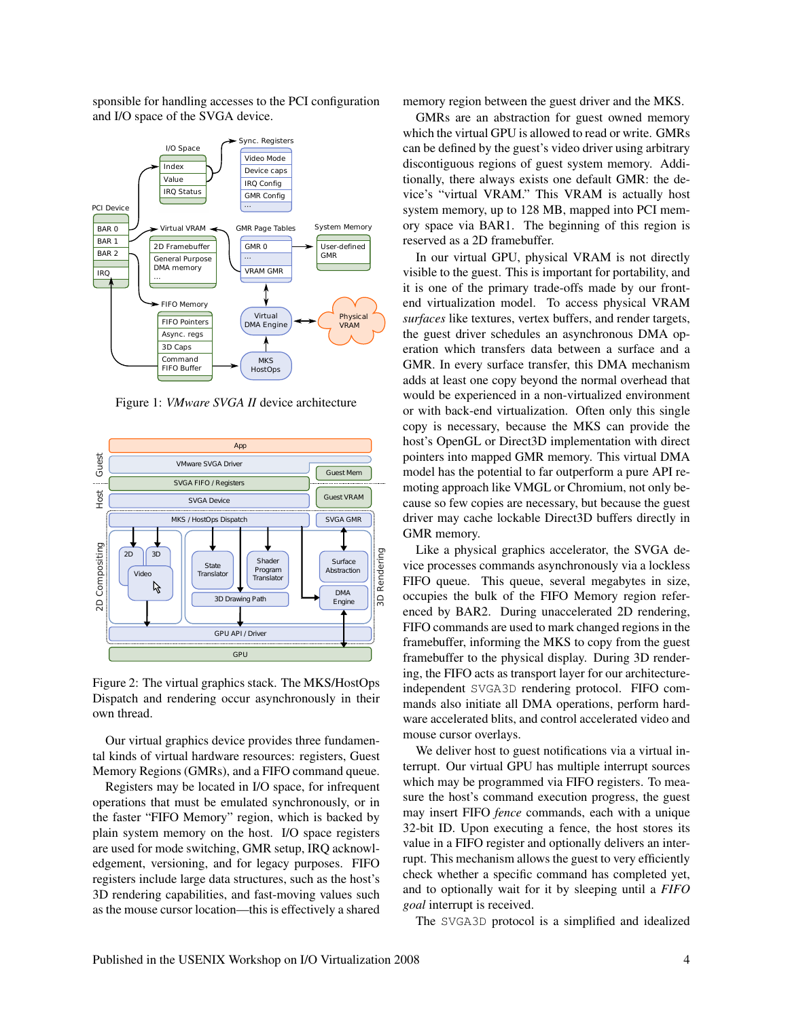sponsible for handling accesses to the PCI configuration and I/O space of the SVGA device.



Figure 1: *VMware SVGA II* device architecture



Figure 2: The virtual graphics stack. The MKS/HostOps Dispatch and rendering occur asynchronously in their own thread.

Our virtual graphics device provides three fundamental kinds of virtual hardware resources: registers, Guest Memory Regions (GMRs), and a FIFO command queue.

Registers may be located in I/O space, for infrequent operations that must be emulated synchronously, or in the faster "FIFO Memory" region, which is backed by plain system memory on the host. I/O space registers are used for mode switching, GMR setup, IRQ acknowledgement, versioning, and for legacy purposes. FIFO registers include large data structures, such as the host's 3D rendering capabilities, and fast-moving values such as the mouse cursor location—this is effectively a shared memory region between the guest driver and the MKS.

GMRs are an abstraction for guest owned memory which the virtual GPU is allowed to read or write. GMRs can be defined by the guest's video driver using arbitrary discontiguous regions of guest system memory. Additionally, there always exists one default GMR: the device's "virtual VRAM." This VRAM is actually host system memory, up to 128 MB, mapped into PCI memory space via BAR1. The beginning of this region is reserved as a 2D framebuffer.

In our virtual GPU, physical VRAM is not directly visible to the guest. This is important for portability, and it is one of the primary trade-offs made by our frontend virtualization model. To access physical VRAM *surfaces* like textures, vertex buffers, and render targets, the guest driver schedules an asynchronous DMA operation which transfers data between a surface and a GMR. In every surface transfer, this DMA mechanism adds at least one copy beyond the normal overhead that would be experienced in a non-virtualized environment or with back-end virtualization. Often only this single copy is necessary, because the MKS can provide the host's OpenGL or Direct3D implementation with direct pointers into mapped GMR memory. This virtual DMA model has the potential to far outperform a pure API remoting approach like VMGL or Chromium, not only because so few copies are necessary, but because the guest driver may cache lockable Direct3D buffers directly in GMR memory.

Like a physical graphics accelerator, the SVGA device processes commands asynchronously via a lockless FIFO queue. This queue, several megabytes in size, occupies the bulk of the FIFO Memory region referenced by BAR2. During unaccelerated 2D rendering, FIFO commands are used to mark changed regions in the framebuffer, informing the MKS to copy from the guest framebuffer to the physical display. During 3D rendering, the FIFO acts as transport layer for our architectureindependent SVGA3D rendering protocol. FIFO commands also initiate all DMA operations, perform hardware accelerated blits, and control accelerated video and mouse cursor overlays.

We deliver host to guest notifications via a virtual interrupt. Our virtual GPU has multiple interrupt sources which may be programmed via FIFO registers. To measure the host's command execution progress, the guest may insert FIFO *fence* commands, each with a unique 32-bit ID. Upon executing a fence, the host stores its value in a FIFO register and optionally delivers an interrupt. This mechanism allows the guest to very efficiently check whether a specific command has completed yet, and to optionally wait for it by sleeping until a *FIFO goal* interrupt is received.

The SVGA3D protocol is a simplified and idealized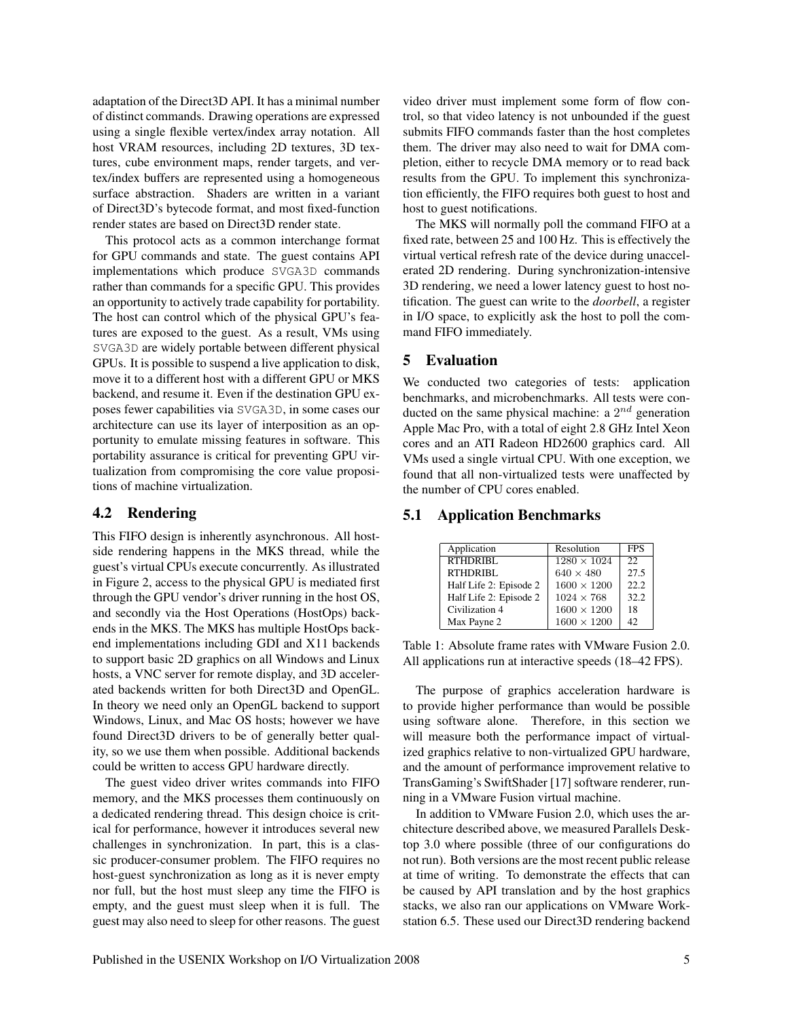adaptation of the Direct3D API. It has a minimal number of distinct commands. Drawing operations are expressed using a single flexible vertex/index array notation. All host VRAM resources, including 2D textures, 3D textures, cube environment maps, render targets, and vertex/index buffers are represented using a homogeneous surface abstraction. Shaders are written in a variant of Direct3D's bytecode format, and most fixed-function render states are based on Direct3D render state.

This protocol acts as a common interchange format for GPU commands and state. The guest contains API implementations which produce SVGA3D commands rather than commands for a specific GPU. This provides an opportunity to actively trade capability for portability. The host can control which of the physical GPU's features are exposed to the guest. As a result, VMs using SVGA3D are widely portable between different physical GPUs. It is possible to suspend a live application to disk, move it to a different host with a different GPU or MKS backend, and resume it. Even if the destination GPU exposes fewer capabilities via SVGA3D, in some cases our architecture can use its layer of interposition as an opportunity to emulate missing features in software. This portability assurance is critical for preventing GPU virtualization from compromising the core value propositions of machine virtualization.

#### 4.2 Rendering

This FIFO design is inherently asynchronous. All hostside rendering happens in the MKS thread, while the guest's virtual CPUs execute concurrently. As illustrated in Figure 2, access to the physical GPU is mediated first through the GPU vendor's driver running in the host OS, and secondly via the Host Operations (HostOps) backends in the MKS. The MKS has multiple HostOps backend implementations including GDI and X11 backends to support basic 2D graphics on all Windows and Linux hosts, a VNC server for remote display, and 3D accelerated backends written for both Direct3D and OpenGL. In theory we need only an OpenGL backend to support Windows, Linux, and Mac OS hosts; however we have found Direct3D drivers to be of generally better quality, so we use them when possible. Additional backends could be written to access GPU hardware directly.

The guest video driver writes commands into FIFO memory, and the MKS processes them continuously on a dedicated rendering thread. This design choice is critical for performance, however it introduces several new challenges in synchronization. In part, this is a classic producer-consumer problem. The FIFO requires no host-guest synchronization as long as it is never empty nor full, but the host must sleep any time the FIFO is empty, and the guest must sleep when it is full. The guest may also need to sleep for other reasons. The guest

video driver must implement some form of flow control, so that video latency is not unbounded if the guest submits FIFO commands faster than the host completes them. The driver may also need to wait for DMA completion, either to recycle DMA memory or to read back results from the GPU. To implement this synchronization efficiently, the FIFO requires both guest to host and host to guest notifications.

The MKS will normally poll the command FIFO at a fixed rate, between 25 and 100 Hz. This is effectively the virtual vertical refresh rate of the device during unaccelerated 2D rendering. During synchronization-intensive 3D rendering, we need a lower latency guest to host notification. The guest can write to the *doorbell*, a register in I/O space, to explicitly ask the host to poll the command FIFO immediately.

# 5 Evaluation

We conducted two categories of tests: application benchmarks, and microbenchmarks. All tests were conducted on the same physical machine: a  $2^{nd}$  generation Apple Mac Pro, with a total of eight 2.8 GHz Intel Xeon cores and an ATI Radeon HD2600 graphics card. All VMs used a single virtual CPU. With one exception, we found that all non-virtualized tests were unaffected by the number of CPU cores enabled.

#### 5.1 Application Benchmarks

| Application            | Resolution         | <b>FPS</b> |
|------------------------|--------------------|------------|
| RTHDRIBL               | $1280 \times 1024$ | 22         |
| RTHDRIBL               | $640 \times 480$   | 27.5       |
| Half Life 2: Episode 2 | $1600 \times 1200$ | 22.2       |
| Half Life 2: Episode 2 | $1024 \times 768$  | 32.2       |
| Civilization 4         | $1600 \times 1200$ | 18         |
| Max Payne 2            | $1600 \times 1200$ | 42         |

Table 1: Absolute frame rates with VMware Fusion 2.0. All applications run at interactive speeds (18–42 FPS).

The purpose of graphics acceleration hardware is to provide higher performance than would be possible using software alone. Therefore, in this section we will measure both the performance impact of virtualized graphics relative to non-virtualized GPU hardware, and the amount of performance improvement relative to TransGaming's SwiftShader [17] software renderer, running in a VMware Fusion virtual machine.

In addition to VMware Fusion 2.0, which uses the architecture described above, we measured Parallels Desktop 3.0 where possible (three of our configurations do not run). Both versions are the most recent public release at time of writing. To demonstrate the effects that can be caused by API translation and by the host graphics stacks, we also ran our applications on VMware Workstation 6.5. These used our Direct3D rendering backend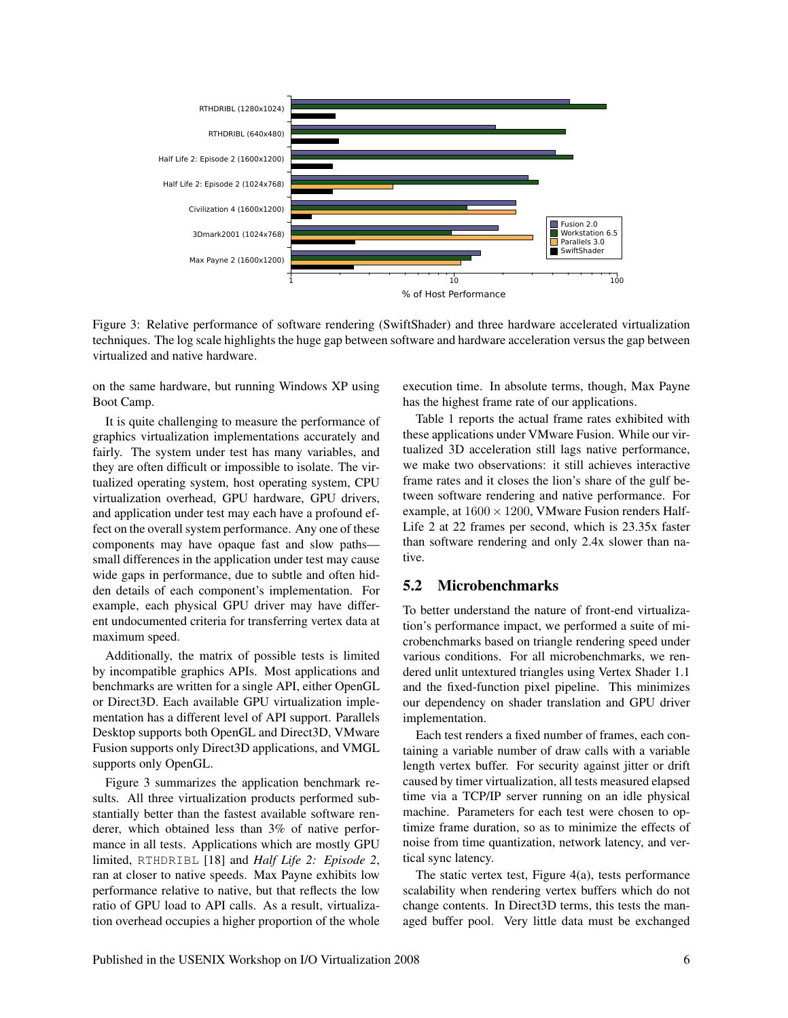

Figure 3: Relative performance of software rendering (SwiftShader) and three hardware accelerated virtualization techniques. The log scale highlights the huge gap between software and hardware acceleration versus the gap between virtualized and native hardware.

on the same hardware, but running Windows XP using Boot Camp.

It is quite challenging to measure the performance of graphics virtualization implementations accurately and fairly. The system under test has many variables, and they are often difficult or impossible to isolate. The virtualized operating system, host operating system, CPU virtualization overhead, GPU hardware, GPU drivers, and application under test may each have a profound effect on the overall system performance. Any one of these components may have opaque fast and slow paths small differences in the application under test may cause wide gaps in performance, due to subtle and often hidden details of each component's implementation. For example, each physical GPU driver may have different undocumented criteria for transferring vertex data at maximum speed.

Additionally, the matrix of possible tests is limited by incompatible graphics APIs. Most applications and benchmarks are written for a single API, either OpenGL or Direct3D. Each available GPU virtualization implementation has a different level of API support. Parallels Desktop supports both OpenGL and Direct3D, VMware Fusion supports only Direct3D applications, and VMGL supports only OpenGL.

Figure 3 summarizes the application benchmark results. All three virtualization products performed substantially better than the fastest available software renderer, which obtained less than 3% of native performance in all tests. Applications which are mostly GPU limited, RTHDRIBL [18] and *Half Life 2: Episode 2*, ran at closer to native speeds. Max Payne exhibits low performance relative to native, but that reflects the low ratio of GPU load to API calls. As a result, virtualization overhead occupies a higher proportion of the whole execution time. In absolute terms, though, Max Payne has the highest frame rate of our applications.

Table 1 reports the actual frame rates exhibited with these applications under VMware Fusion. While our virtualized 3D acceleration still lags native performance, we make two observations: it still achieves interactive frame rates and it closes the lion's share of the gulf between software rendering and native performance. For example, at  $1600 \times 1200$ , VMware Fusion renders Half-Life 2 at 22 frames per second, which is 23.35x faster than software rendering and only 2.4x slower than native.

# 5.2 Microbenchmarks

To better understand the nature of front-end virtualization's performance impact, we performed a suite of microbenchmarks based on triangle rendering speed under various conditions. For all microbenchmarks, we rendered unlit untextured triangles using Vertex Shader 1.1 and the fixed-function pixel pipeline. This minimizes our dependency on shader translation and GPU driver implementation.

Each test renders a fixed number of frames, each containing a variable number of draw calls with a variable length vertex buffer. For security against jitter or drift caused by timer virtualization, all tests measured elapsed time via a TCP/IP server running on an idle physical machine. Parameters for each test were chosen to optimize frame duration, so as to minimize the effects of noise from time quantization, network latency, and vertical sync latency.

The static vertex test, Figure 4(a), tests performance scalability when rendering vertex buffers which do not change contents. In Direct3D terms, this tests the managed buffer pool. Very little data must be exchanged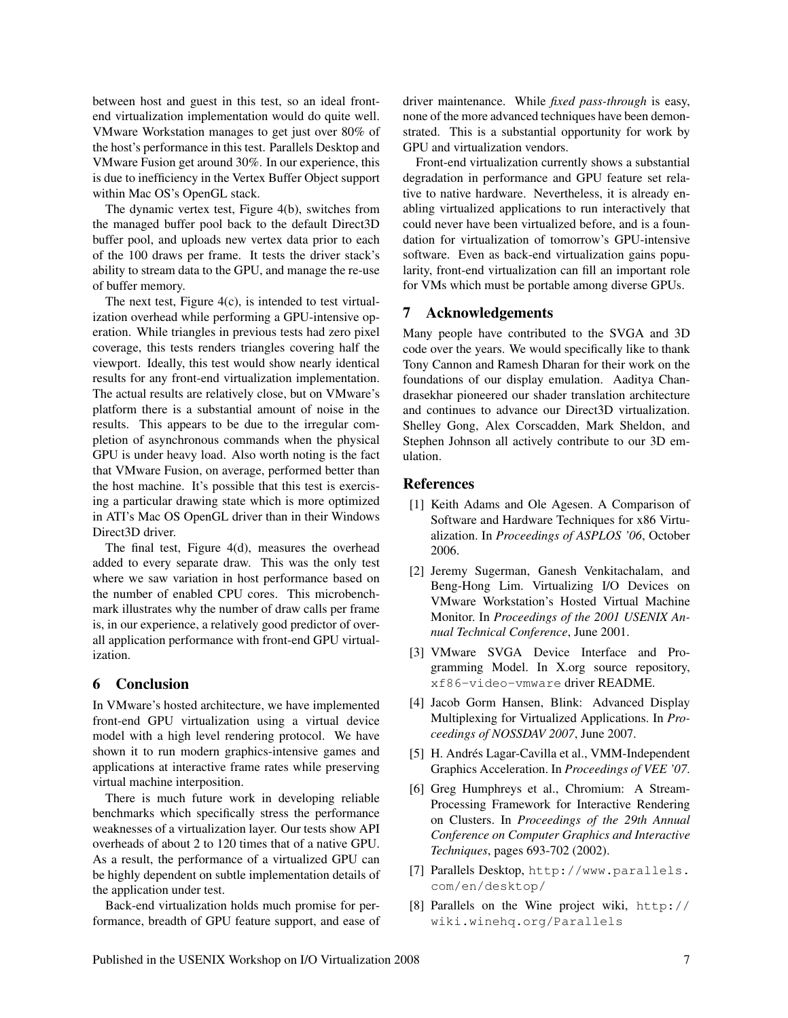between host and guest in this test, so an ideal frontend virtualization implementation would do quite well. VMware Workstation manages to get just over 80% of the host's performance in this test. Parallels Desktop and VMware Fusion get around 30%. In our experience, this is due to inefficiency in the Vertex Buffer Object support within Mac OS's OpenGL stack.

The dynamic vertex test, Figure 4(b), switches from the managed buffer pool back to the default Direct3D buffer pool, and uploads new vertex data prior to each of the 100 draws per frame. It tests the driver stack's ability to stream data to the GPU, and manage the re-use of buffer memory.

The next test, Figure  $4(c)$ , is intended to test virtualization overhead while performing a GPU-intensive operation. While triangles in previous tests had zero pixel coverage, this tests renders triangles covering half the viewport. Ideally, this test would show nearly identical results for any front-end virtualization implementation. The actual results are relatively close, but on VMware's platform there is a substantial amount of noise in the results. This appears to be due to the irregular completion of asynchronous commands when the physical GPU is under heavy load. Also worth noting is the fact that VMware Fusion, on average, performed better than the host machine. It's possible that this test is exercising a particular drawing state which is more optimized in ATI's Mac OS OpenGL driver than in their Windows Direct3D driver.

The final test, Figure 4(d), measures the overhead added to every separate draw. This was the only test where we saw variation in host performance based on the number of enabled CPU cores. This microbenchmark illustrates why the number of draw calls per frame is, in our experience, a relatively good predictor of overall application performance with front-end GPU virtualization.

#### 6 Conclusion

In VMware's hosted architecture, we have implemented front-end GPU virtualization using a virtual device model with a high level rendering protocol. We have shown it to run modern graphics-intensive games and applications at interactive frame rates while preserving virtual machine interposition.

There is much future work in developing reliable benchmarks which specifically stress the performance weaknesses of a virtualization layer. Our tests show API overheads of about 2 to 120 times that of a native GPU. As a result, the performance of a virtualized GPU can be highly dependent on subtle implementation details of the application under test.

Back-end virtualization holds much promise for performance, breadth of GPU feature support, and ease of driver maintenance. While *fixed pass-through* is easy, none of the more advanced techniques have been demonstrated. This is a substantial opportunity for work by GPU and virtualization vendors.

Front-end virtualization currently shows a substantial degradation in performance and GPU feature set relative to native hardware. Nevertheless, it is already enabling virtualized applications to run interactively that could never have been virtualized before, and is a foundation for virtualization of tomorrow's GPU-intensive software. Even as back-end virtualization gains popularity, front-end virtualization can fill an important role for VMs which must be portable among diverse GPUs.

### 7 Acknowledgements

Many people have contributed to the SVGA and 3D code over the years. We would specifically like to thank Tony Cannon and Ramesh Dharan for their work on the foundations of our display emulation. Aaditya Chandrasekhar pioneered our shader translation architecture and continues to advance our Direct3D virtualization. Shelley Gong, Alex Corscadden, Mark Sheldon, and Stephen Johnson all actively contribute to our 3D emulation.

#### References

- [1] Keith Adams and Ole Agesen. A Comparison of Software and Hardware Techniques for x86 Virtualization. In *Proceedings of ASPLOS '06*, October 2006.
- [2] Jeremy Sugerman, Ganesh Venkitachalam, and Beng-Hong Lim. Virtualizing I/O Devices on VMware Workstation's Hosted Virtual Machine Monitor. In *Proceedings of the 2001 USENIX Annual Technical Conference*, June 2001.
- [3] VMware SVGA Device Interface and Programming Model. In X.org source repository, xf86-video-vmware driver README.
- [4] Jacob Gorm Hansen, Blink: Advanced Display Multiplexing for Virtualized Applications. In *Proceedings of NOSSDAV 2007*, June 2007.
- [5] H. Andrés Lagar-Cavilla et al., VMM-Independent Graphics Acceleration. In *Proceedings of VEE '07*.
- [6] Greg Humphreys et al., Chromium: A Stream-Processing Framework for Interactive Rendering on Clusters. In *Proceedings of the 29th Annual Conference on Computer Graphics and Interactive Techniques*, pages 693-702 (2002).
- [7] Parallels Desktop, http://www.parallels. com/en/desktop/
- [8] Parallels on the Wine project wiki, http:// wiki.winehq.org/Parallels